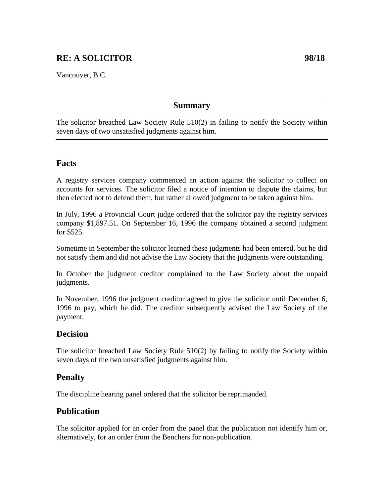# **RE: A SOLICITOR 98/18**

Vancouver, B.C.

#### **Summary**

The solicitor breached Law Society Rule 510(2) in failing to notify the Society within seven days of two unsatisfied judgments against him.

#### **Facts**

A registry services company commenced an action against the solicitor to collect on accounts for services. The solicitor filed a notice of intention to dispute the claims, but then elected not to defend them, but rather allowed judgment to be taken against him.

In July, 1996 a Provincial Court judge ordered that the solicitor pay the registry services company \$1,897.51. On September 16, 1996 the company obtained a second judgment for \$525.

Sometime in September the solicitor learned these judgments had been entered, but he did not satisfy them and did not advise the Law Society that the judgments were outstanding.

In October the judgment creditor complained to the Law Society about the unpaid judgments.

In November, 1996 the judgment creditor agreed to give the solicitor until December 6, 1996 to pay, which he did. The creditor subsequently advised the Law Society of the payment.

## **Decision**

The solicitor breached Law Society Rule 510(2) by failing to notify the Society within seven days of the two unsatisfied judgments against him.

## **Penalty**

The discipline hearing panel ordered that the solicitor be reprimanded.

# **Publication**

The solicitor applied for an order from the panel that the publication not identify him or, alternatively, for an order from the Benchers for non-publication.